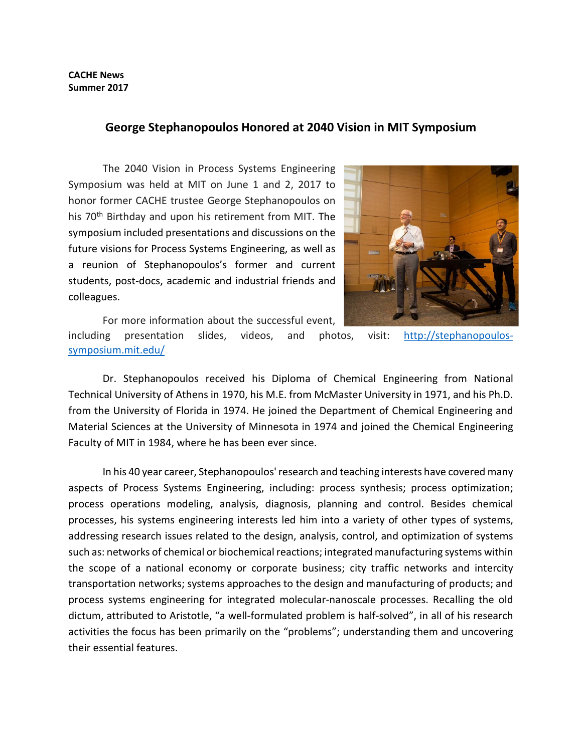## **CACHE News Summer 2017**

## **George Stephanopoulos Honored at 2040 Vision in MIT Symposium**

The 2040 Vision in Process Systems Engineering Symposium was held at MIT on June 1 and 2, 2017 to honor former CACHE trustee George Stephanopoulos on his 70<sup>th</sup> Birthday and upon his retirement from MIT. The symposium included presentations and discussions on the future visions for Process Systems Engineering, as well as a reunion of Stephanopoulos's former and current students, post-docs, academic and industrial friends and colleagues.



For more information about the successful event,

including presentation slides, videos, and photos, visit: [http://stephanopoulos](http://stephanopoulos-symposium.mit.edu/)[symposium.mit.edu/](http://stephanopoulos-symposium.mit.edu/)

Dr. Stephanopoulos received his Diploma of Chemical Engineering from National Technical University of Athens in 1970, his M.E. from McMaster University in 1971, and his Ph.D. from the University of Florida in 1974. He joined the Department of Chemical Engineering and Material Sciences at the University of Minnesota in 1974 and joined the Chemical Engineering Faculty of MIT in 1984, where he has been ever since.

In his 40 year career, Stephanopoulos' research and teaching interests have covered many aspects of Process Systems Engineering, including: process synthesis; process optimization; process operations modeling, analysis, diagnosis, planning and control. Besides chemical processes, his systems engineering interests led him into a variety of other types of systems, addressing research issues related to the design, analysis, control, and optimization of systems such as: networks of chemical or biochemical reactions; integrated manufacturing systems within the scope of a national economy or corporate business; city traffic networks and intercity transportation networks; systems approaches to the design and manufacturing of products; and process systems engineering for integrated molecular-nanoscale processes. Recalling the old dictum, attributed to Aristotle, "a well-formulated problem is half-solved", in all of his research activities the focus has been primarily on the "problems"; understanding them and uncovering their essential features.